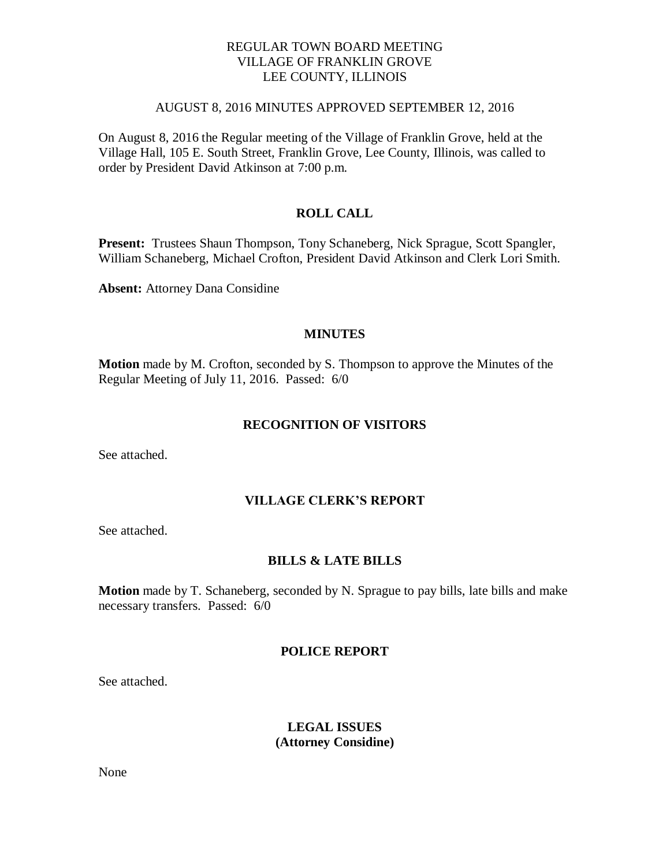## REGULAR TOWN BOARD MEETING VILLAGE OF FRANKLIN GROVE LEE COUNTY, ILLINOIS

#### AUGUST 8, 2016 MINUTES APPROVED SEPTEMBER 12, 2016

On August 8, 2016 the Regular meeting of the Village of Franklin Grove, held at the Village Hall, 105 E. South Street, Franklin Grove, Lee County, Illinois, was called to order by President David Atkinson at 7:00 p.m.

# **ROLL CALL**

**Present:** Trustees Shaun Thompson, Tony Schaneberg, Nick Sprague, Scott Spangler, William Schaneberg, Michael Crofton, President David Atkinson and Clerk Lori Smith.

**Absent:** Attorney Dana Considine

### **MINUTES**

**Motion** made by M. Crofton, seconded by S. Thompson to approve the Minutes of the Regular Meeting of July 11, 2016. Passed: 6/0

#### **RECOGNITION OF VISITORS**

See attached.

## **VILLAGE CLERK'S REPORT**

See attached.

### **BILLS & LATE BILLS**

**Motion** made by T. Schaneberg, seconded by N. Sprague to pay bills, late bills and make necessary transfers. Passed: 6/0

### **POLICE REPORT**

See attached.

## **LEGAL ISSUES (Attorney Considine)**

None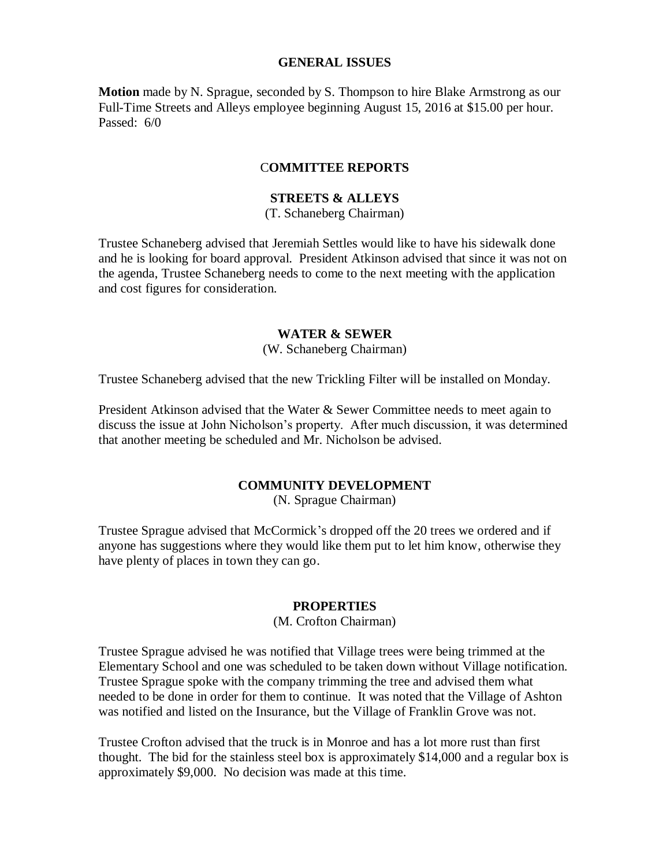### **GENERAL ISSUES**

**Motion** made by N. Sprague, seconded by S. Thompson to hire Blake Armstrong as our Full-Time Streets and Alleys employee beginning August 15, 2016 at \$15.00 per hour. Passed: 6/0

### C**OMMITTEE REPORTS**

# **STREETS & ALLEYS**

(T. Schaneberg Chairman)

Trustee Schaneberg advised that Jeremiah Settles would like to have his sidewalk done and he is looking for board approval. President Atkinson advised that since it was not on the agenda, Trustee Schaneberg needs to come to the next meeting with the application and cost figures for consideration.

### **WATER & SEWER**

(W. Schaneberg Chairman)

Trustee Schaneberg advised that the new Trickling Filter will be installed on Monday.

President Atkinson advised that the Water & Sewer Committee needs to meet again to discuss the issue at John Nicholson's property. After much discussion, it was determined that another meeting be scheduled and Mr. Nicholson be advised.

# **COMMUNITY DEVELOPMENT**

(N. Sprague Chairman)

Trustee Sprague advised that McCormick's dropped off the 20 trees we ordered and if anyone has suggestions where they would like them put to let him know, otherwise they have plenty of places in town they can go.

#### **PROPERTIES**

(M. Crofton Chairman)

Trustee Sprague advised he was notified that Village trees were being trimmed at the Elementary School and one was scheduled to be taken down without Village notification. Trustee Sprague spoke with the company trimming the tree and advised them what needed to be done in order for them to continue. It was noted that the Village of Ashton was notified and listed on the Insurance, but the Village of Franklin Grove was not.

Trustee Crofton advised that the truck is in Monroe and has a lot more rust than first thought. The bid for the stainless steel box is approximately \$14,000 and a regular box is approximately \$9,000. No decision was made at this time.